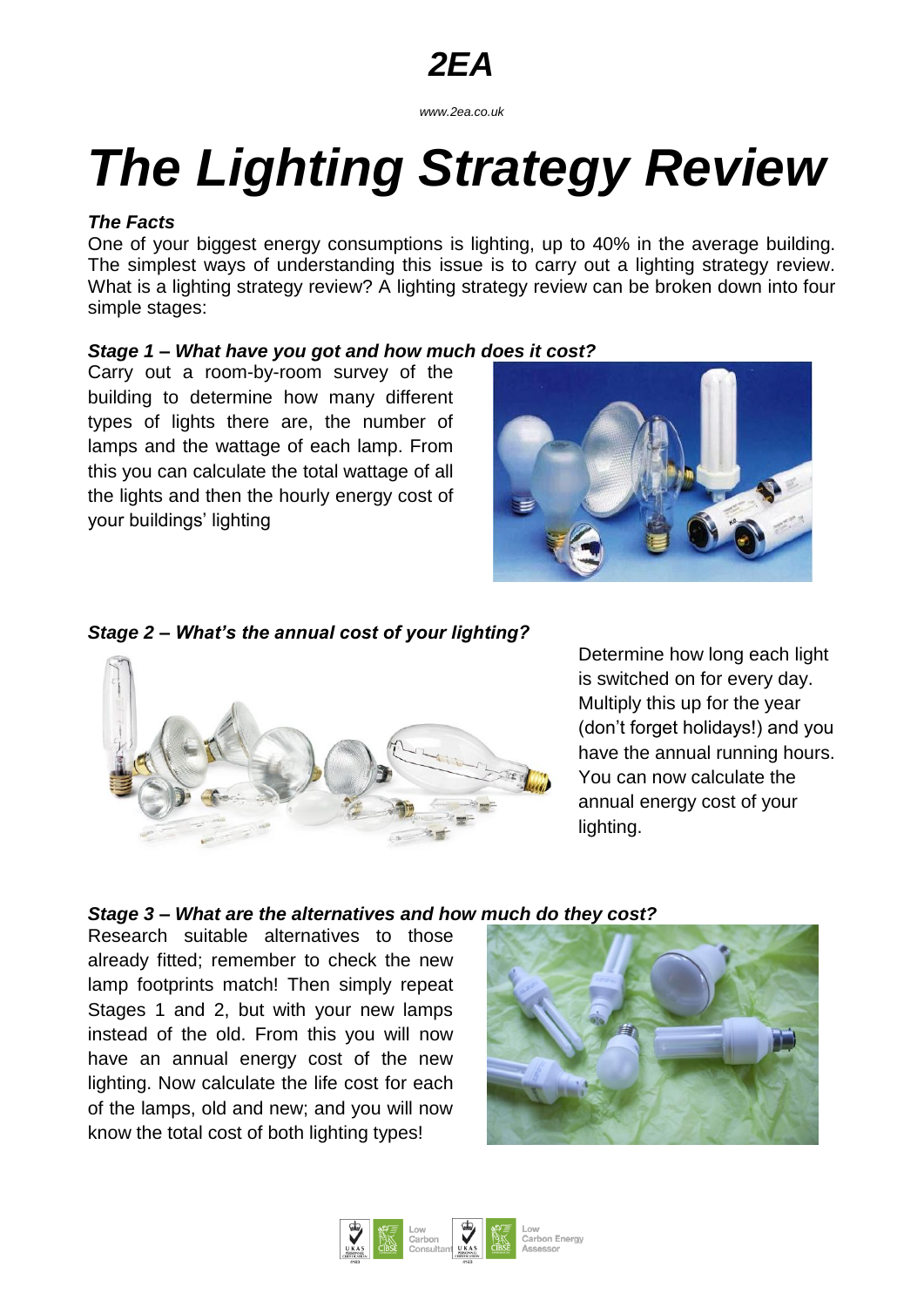*2EA*

*www.2ea.co.uk*

# *The Lighting Strategy Review*

#### *The Facts*

One of your biggest energy consumptions is lighting, up to 40% in the average building. The simplest ways of understanding this issue is to carry out a lighting strategy review. What is a lighting strategy review? A lighting strategy review can be broken down into four simple stages:

### *Stage 1 – What have you got and how much does it cost?*

Carry out a room-by-room survey of the building to determine how many different types of lights there are, the number of lamps and the wattage of each lamp. From this you can calculate the total wattage of all the lights and then the hourly energy cost of your buildings' lighting



*Stage 2 – What's the annual cost of your lighting?*



Determine how long each light is switched on for every day. Multiply this up for the year (don't forget holidays!) and you have the annual running hours. You can now calculate the annual energy cost of your lighting.

### *Stage 3 – What are the alternatives and how much do they cost?*

Research suitable alternatives to those already fitted; remember to check the new lamp footprints match! Then simply repeat Stages 1 and 2, but with your new lamps instead of the old. From this you will now have an annual energy cost of the new lighting. Now calculate the life cost for each of the lamps, old and new; and you will now know the total cost of both lighting types!